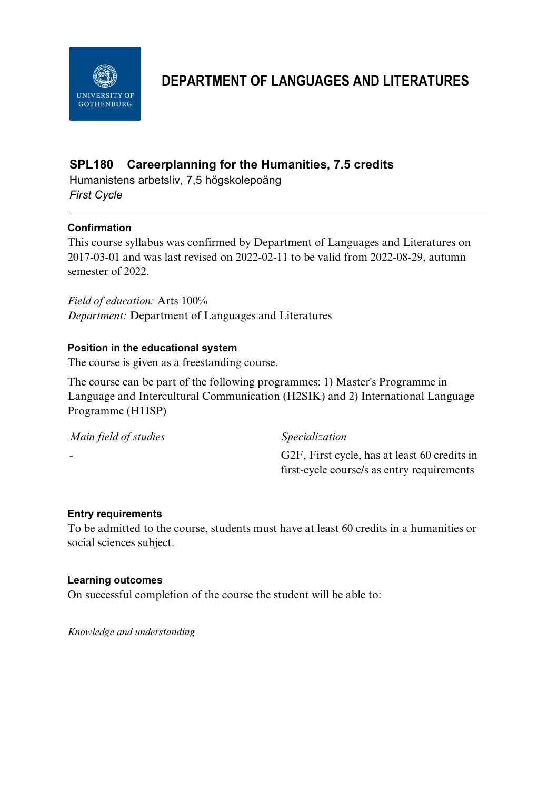

# **DEPARTMENT OF LANGUAGES AND LITERATURES**

## **SPL180 Careerplanning for the Humanities, 7.5 credits**

Humanistens arbetsliv, 7,5 högskolepoäng *First Cycle*

## **Confirmation**

This course syllabus was confirmed by Department of Languages and Literatures on 2017-03-01 and was last revised on 2022-02-11 to be valid from 2022-08-29, autumn semester of 2022.

*Field of education:* Arts 100% *Department:* Department of Languages and Literatures

## **Position in the educational system**

The course is given as a freestanding course.

The course can be part of the following programmes: 1) Master's Programme in Language and Intercultural Communication (H2SIK) and 2) International Language Programme (H1ISP)

| Main field of studies | <i>Specialization</i>                        |
|-----------------------|----------------------------------------------|
| -                     | G2F, First cycle, has at least 60 credits in |
|                       | first-cycle course/s as entry requirements   |

## **Entry requirements**

To be admitted to the course, students must have at least 60 credits in a humanities or social sciences subject.

#### **Learning outcomes**

On successful completion of the course the student will be able to:

*Knowledge and understanding*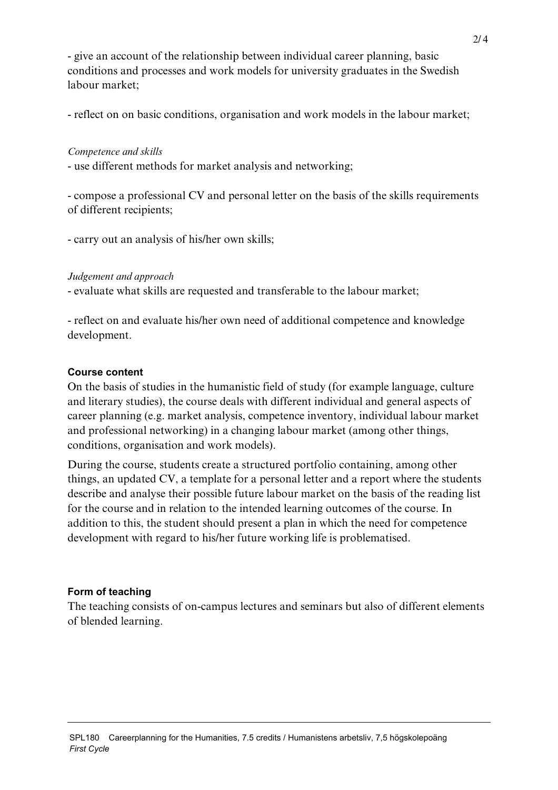- give an account of the relationship between individual career planning, basic conditions and processes and work models for university graduates in the Swedish labour market;

- reflect on on basic conditions, organisation and work models in the labour market;

#### *Competence and skills*

- use different methods for market analysis and networking;

- compose a professional CV and personal letter on the basis of the skills requirements of different recipients;

- carry out an analysis of his/her own skills;

#### *Judgement and approach*

- evaluate what skills are requested and transferable to the labour market;

- reflect on and evaluate his/her own need of additional competence and knowledge development.

#### **Course content**

On the basis of studies in the humanistic field of study (for example language, culture and literary studies), the course deals with different individual and general aspects of career planning (e.g. market analysis, competence inventory, individual labour market and professional networking) in a changing labour market (among other things, conditions, organisation and work models).

During the course, students create a structured portfolio containing, among other things, an updated CV, a template for a personal letter and a report where the students describe and analyse their possible future labour market on the basis of the reading list for the course and in relation to the intended learning outcomes of the course. In addition to this, the student should present a plan in which the need for competence development with regard to his/her future working life is problematised.

## **Form of teaching**

The teaching consists of on-campus lectures and seminars but also of different elements of blended learning.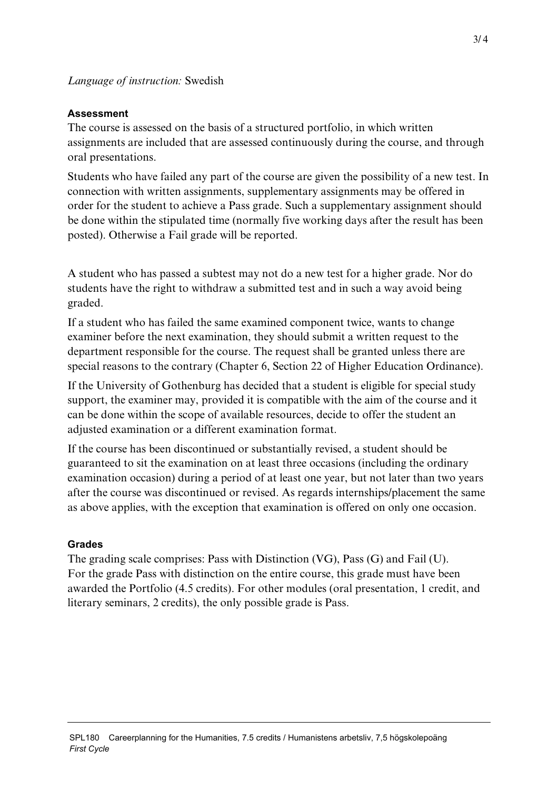## **Assessment**

The course is assessed on the basis of a structured portfolio, in which written assignments are included that are assessed continuously during the course, and through oral presentations.

Students who have failed any part of the course are given the possibility of a new test. In connection with written assignments, supplementary assignments may be offered in order for the student to achieve a Pass grade. Such a supplementary assignment should be done within the stipulated time (normally five working days after the result has been posted). Otherwise a Fail grade will be reported.

A student who has passed a subtest may not do a new test for a higher grade. Nor do students have the right to withdraw a submitted test and in such a way avoid being graded.

If a student who has failed the same examined component twice, wants to change examiner before the next examination, they should submit a written request to the department responsible for the course. The request shall be granted unless there are special reasons to the contrary (Chapter 6, Section 22 of Higher Education Ordinance).

If the University of Gothenburg has decided that a student is eligible for special study support, the examiner may, provided it is compatible with the aim of the course and it can be done within the scope of available resources, decide to offer the student an adjusted examination or a different examination format.

If the course has been discontinued or substantially revised, a student should be guaranteed to sit the examination on at least three occasions (including the ordinary examination occasion) during a period of at least one year, but not later than two years after the course was discontinued or revised. As regards internships/placement the same as above applies, with the exception that examination is offered on only one occasion.

## **Grades**

The grading scale comprises: Pass with Distinction (VG), Pass (G) and Fail (U). For the grade Pass with distinction on the entire course, this grade must have been awarded the Portfolio (4.5 credits). For other modules (oral presentation, 1 credit, and literary seminars, 2 credits), the only possible grade is Pass.